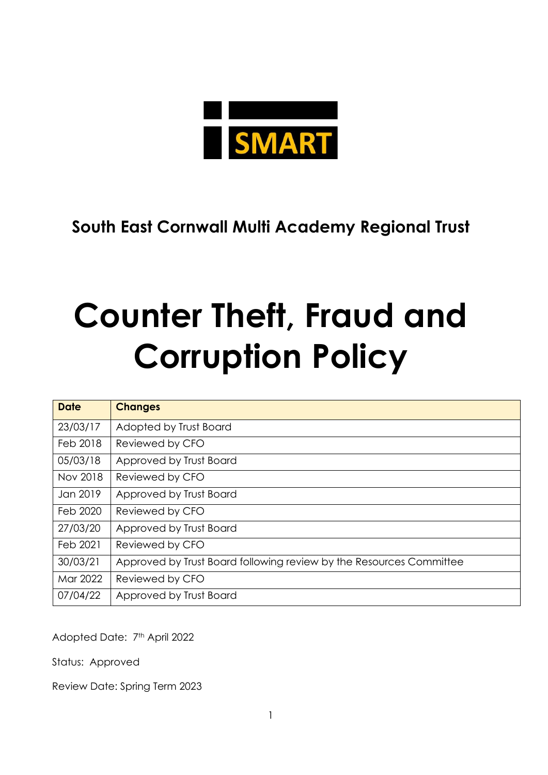

**South East Cornwall Multi Academy Regional Trust**

# **Counter Theft, Fraud and Corruption Policy**

| <b>Date</b> | <b>Changes</b>                                                      |
|-------------|---------------------------------------------------------------------|
| 23/03/17    | Adopted by Trust Board                                              |
| Feb 2018    | Reviewed by CFO                                                     |
| 05/03/18    | Approved by Trust Board                                             |
| Nov 2018    | Reviewed by CFO                                                     |
| Jan 2019    | Approved by Trust Board                                             |
| Feb 2020    | Reviewed by CFO                                                     |
| 27/03/20    | Approved by Trust Board                                             |
| Feb 2021    | Reviewed by CFO                                                     |
| 30/03/21    | Approved by Trust Board following review by the Resources Committee |
| Mar 2022    | Reviewed by CFO                                                     |
| 07/04/22    | Approved by Trust Board                                             |

Adopted Date: 7th April 2022

Status: Approved

Review Date: Spring Term 2023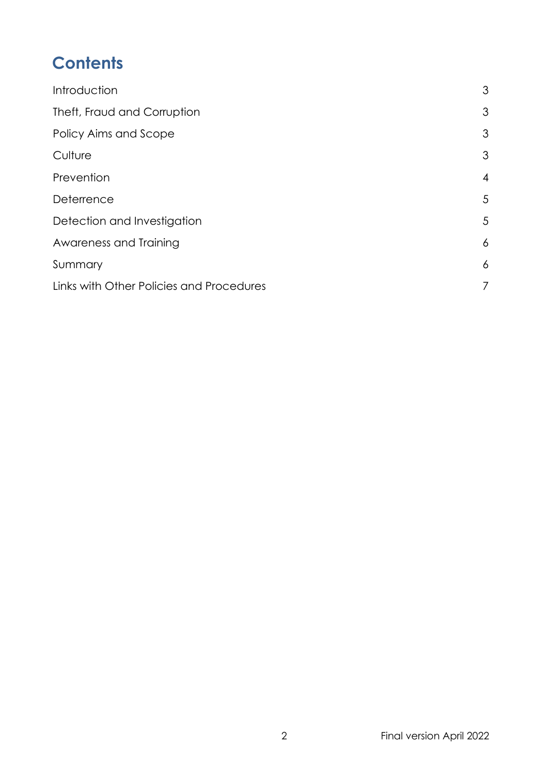# **Contents**

| 3              |
|----------------|
| 3              |
| 3              |
| 3              |
| $\overline{4}$ |
| 5              |
| 5              |
| 6              |
| 6              |
| $\overline{7}$ |
|                |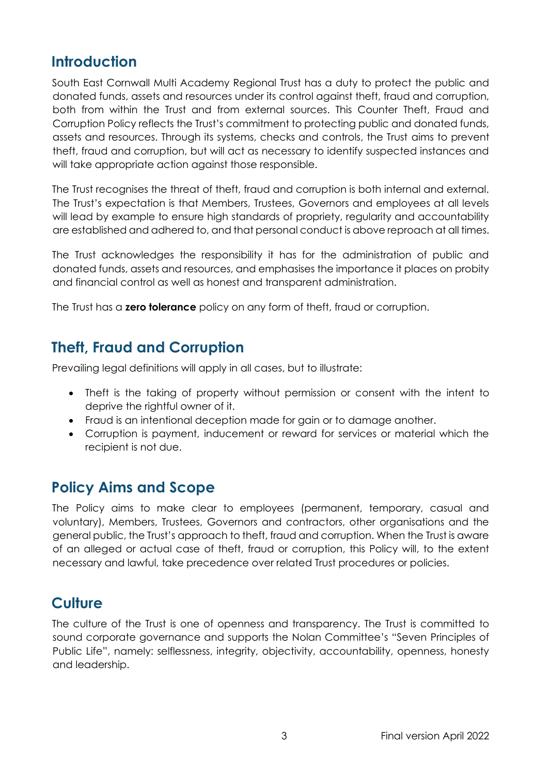## <span id="page-2-0"></span>**Introduction**

South East Cornwall Multi Academy Regional Trust has a duty to protect the public and donated funds, assets and resources under its control against theft, fraud and corruption, both from within the Trust and from external sources. This Counter Theft, Fraud and Corruption Policy reflects the Trust's commitment to protecting public and donated funds, assets and resources. Through its systems, checks and controls, the Trust aims to prevent theft, fraud and corruption, but will act as necessary to identify suspected instances and will take appropriate action against those responsible.

The Trust recognises the threat of theft, fraud and corruption is both internal and external. The Trust's expectation is that Members, Trustees, Governors and employees at all levels will lead by example to ensure high standards of propriety, regularity and accountability are established and adhered to, and that personal conduct is above reproach at all times.

The Trust acknowledges the responsibility it has for the administration of public and donated funds, assets and resources, and emphasises the importance it places on probity and financial control as well as honest and transparent administration.

The Trust has a **zero tolerance** policy on any form of theft, fraud or corruption.

## <span id="page-2-1"></span>**Theft, Fraud and Corruption**

Prevailing legal definitions will apply in all cases, but to illustrate:

- Theft is the taking of property without permission or consent with the intent to deprive the rightful owner of it.
- Fraud is an intentional deception made for gain or to damage another.
- Corruption is payment, inducement or reward for services or material which the recipient is not due.

#### <span id="page-2-2"></span>**Policy Aims and Scope**

The Policy aims to make clear to employees (permanent, temporary, casual and voluntary), Members, Trustees, Governors and contractors, other organisations and the general public, the Trust's approach to theft, fraud and corruption. When the Trust is aware of an alleged or actual case of theft, fraud or corruption, this Policy will, to the extent necessary and lawful, take precedence over related Trust procedures or policies.

#### <span id="page-2-3"></span>**Culture**

The culture of the Trust is one of openness and transparency. The Trust is committed to sound corporate governance and supports the Nolan Committee's "Seven Principles of Public Life", namely: selflessness, integrity, objectivity, accountability, openness, honesty and leadership.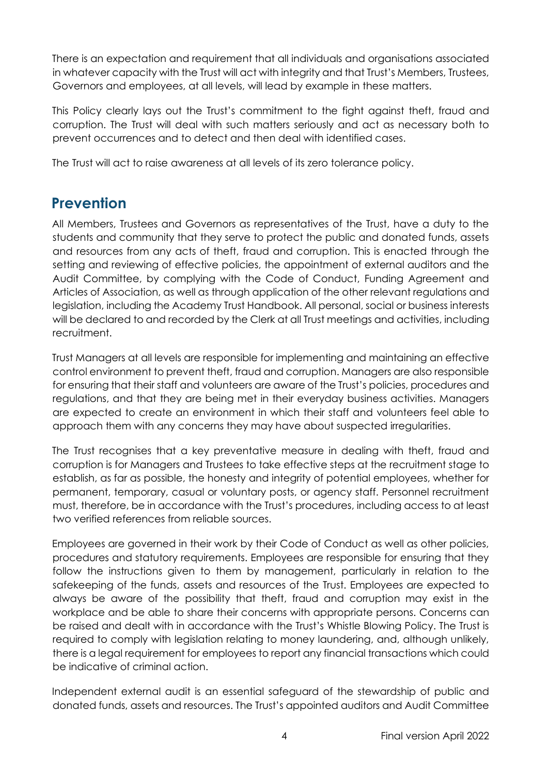There is an expectation and requirement that all individuals and organisations associated in whatever capacity with the Trust will act with integrity and that Trust's Members, Trustees, Governors and employees, at all levels, will lead by example in these matters.

This Policy clearly lays out the Trust's commitment to the fight against theft, fraud and corruption. The Trust will deal with such matters seriously and act as necessary both to prevent occurrences and to detect and then deal with identified cases.

The Trust will act to raise awareness at all levels of its zero tolerance policy.

## <span id="page-3-0"></span>**Prevention**

All Members, Trustees and Governors as representatives of the Trust, have a duty to the students and community that they serve to protect the public and donated funds, assets and resources from any acts of theft, fraud and corruption. This is enacted through the setting and reviewing of effective policies, the appointment of external auditors and the Audit Committee, by complying with the Code of Conduct, Funding Agreement and Articles of Association, as well as through application of the other relevant regulations and legislation, including the Academy Trust Handbook. All personal, social or business interests will be declared to and recorded by the Clerk at all Trust meetings and activities, including recruitment.

Trust Managers at all levels are responsible for implementing and maintaining an effective control environment to prevent theft, fraud and corruption. Managers are also responsible for ensuring that their staff and volunteers are aware of the Trust's policies, procedures and regulations, and that they are being met in their everyday business activities. Managers are expected to create an environment in which their staff and volunteers feel able to approach them with any concerns they may have about suspected irregularities.

The Trust recognises that a key preventative measure in dealing with theft, fraud and corruption is for Managers and Trustees to take effective steps at the recruitment stage to establish, as far as possible, the honesty and integrity of potential employees, whether for permanent, temporary, casual or voluntary posts, or agency staff. Personnel recruitment must, therefore, be in accordance with the Trust's procedures, including access to at least two verified references from reliable sources.

Employees are governed in their work by their Code of Conduct as well as other policies, procedures and statutory requirements. Employees are responsible for ensuring that they follow the instructions given to them by management, particularly in relation to the safekeeping of the funds, assets and resources of the Trust. Employees are expected to always be aware of the possibility that theft, fraud and corruption may exist in the workplace and be able to share their concerns with appropriate persons. Concerns can be raised and dealt with in accordance with the Trust's Whistle Blowing Policy. The Trust is required to comply with legislation relating to money laundering, and, although unlikely, there is a legal requirement for employees to report any financial transactions which could be indicative of criminal action.

Independent external audit is an essential safeguard of the stewardship of public and donated funds, assets and resources. The Trust's appointed auditors and Audit Committee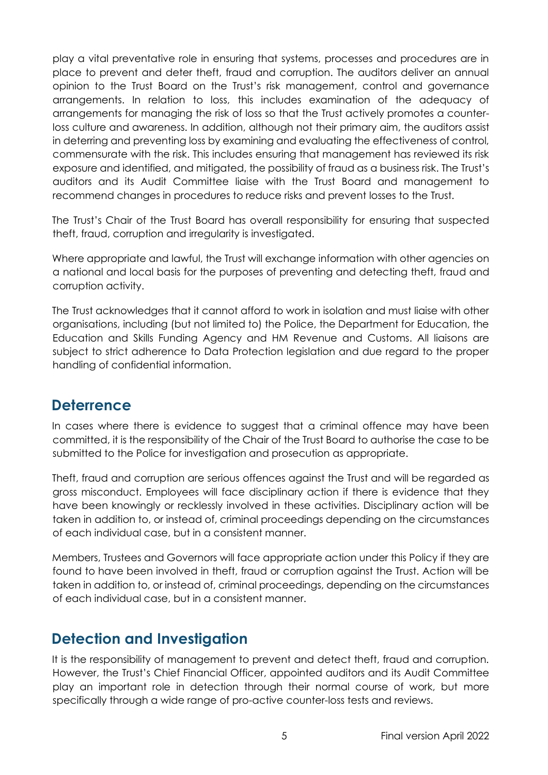play a vital preventative role in ensuring that systems, processes and procedures are in place to prevent and deter theft, fraud and corruption. The auditors deliver an annual opinion to the Trust Board on the Trust's risk management, control and governance arrangements. In relation to loss, this includes examination of the adequacy of arrangements for managing the risk of loss so that the Trust actively promotes a counterloss culture and awareness. In addition, although not their primary aim, the auditors assist in deterring and preventing loss by examining and evaluating the effectiveness of control, commensurate with the risk. This includes ensuring that management has reviewed its risk exposure and identified, and mitigated, the possibility of fraud as a business risk. The Trust's auditors and its Audit Committee liaise with the Trust Board and management to recommend changes in procedures to reduce risks and prevent losses to the Trust.

The Trust's Chair of the Trust Board has overall responsibility for ensuring that suspected theft, fraud, corruption and irregularity is investigated.

Where appropriate and lawful, the Trust will exchange information with other agencies on a national and local basis for the purposes of preventing and detecting theft, fraud and corruption activity.

The Trust acknowledges that it cannot afford to work in isolation and must liaise with other organisations, including (but not limited to) the Police, the Department for Education, the Education and Skills Funding Agency and HM Revenue and Customs. All liaisons are subject to strict adherence to Data Protection legislation and due regard to the proper handling of confidential information.

#### <span id="page-4-0"></span>**Deterrence**

In cases where there is evidence to suggest that a criminal offence may have been committed, it is the responsibility of the Chair of the Trust Board to authorise the case to be submitted to the Police for investigation and prosecution as appropriate.

Theft, fraud and corruption are serious offences against the Trust and will be regarded as gross misconduct. Employees will face disciplinary action if there is evidence that they have been knowingly or recklessly involved in these activities. Disciplinary action will be taken in addition to, or instead of, criminal proceedings depending on the circumstances of each individual case, but in a consistent manner.

Members, Trustees and Governors will face appropriate action under this Policy if they are found to have been involved in theft, fraud or corruption against the Trust. Action will be taken in addition to, or instead of, criminal proceedings, depending on the circumstances of each individual case, but in a consistent manner.

#### <span id="page-4-1"></span>**Detection and Investigation**

It is the responsibility of management to prevent and detect theft, fraud and corruption. However, the Trust's Chief Financial Officer, appointed auditors and its Audit Committee play an important role in detection through their normal course of work, but more specifically through a wide range of pro-active counter-loss tests and reviews.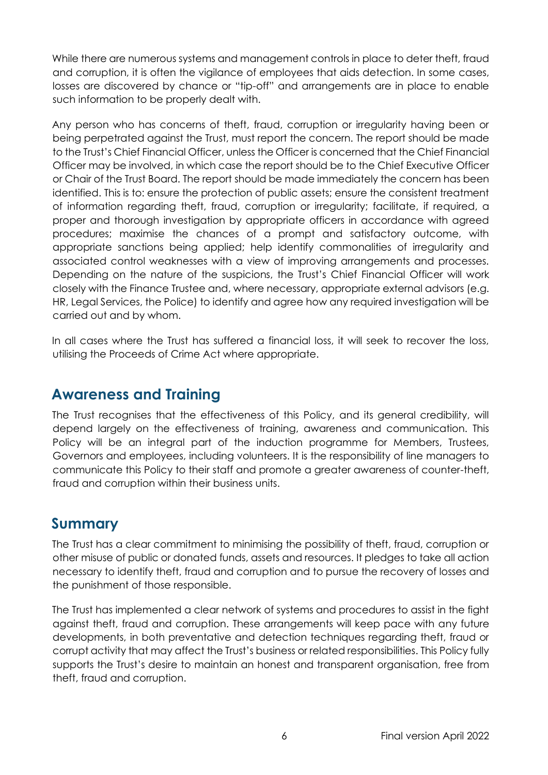While there are numerous systems and management controls in place to deter theft, fraud and corruption, it is often the vigilance of employees that aids detection. In some cases, losses are discovered by chance or "tip-off" and arrangements are in place to enable such information to be properly dealt with.

Any person who has concerns of theft, fraud, corruption or irregularity having been or being perpetrated against the Trust, must report the concern. The report should be made to the Trust's Chief Financial Officer, unless the Officer is concerned that the Chief Financial Officer may be involved, in which case the report should be to the Chief Executive Officer or Chair of the Trust Board. The report should be made immediately the concern has been identified. This is to: ensure the protection of public assets; ensure the consistent treatment of information regarding theft, fraud, corruption or irregularity; facilitate, if required, a proper and thorough investigation by appropriate officers in accordance with agreed procedures; maximise the chances of a prompt and satisfactory outcome, with appropriate sanctions being applied; help identify commonalities of irregularity and associated control weaknesses with a view of improving arrangements and processes. Depending on the nature of the suspicions, the Trust's Chief Financial Officer will work closely with the Finance Trustee and, where necessary, appropriate external advisors (e.g. HR, Legal Services, the Police) to identify and agree how any required investigation will be carried out and by whom.

In all cases where the Trust has suffered a financial loss, it will seek to recover the loss, utilising the Proceeds of Crime Act where appropriate.

#### <span id="page-5-0"></span>**Awareness and Training**

The Trust recognises that the effectiveness of this Policy, and its general credibility, will depend largely on the effectiveness of training, awareness and communication. This Policy will be an integral part of the induction programme for Members, Trustees, Governors and employees, including volunteers. It is the responsibility of line managers to communicate this Policy to their staff and promote a greater awareness of counter-theft, fraud and corruption within their business units.

#### <span id="page-5-1"></span>**Summary**

The Trust has a clear commitment to minimising the possibility of theft, fraud, corruption or other misuse of public or donated funds, assets and resources. It pledges to take all action necessary to identify theft, fraud and corruption and to pursue the recovery of losses and the punishment of those responsible.

The Trust has implemented a clear network of systems and procedures to assist in the fight against theft, fraud and corruption. These arrangements will keep pace with any future developments, in both preventative and detection techniques regarding theft, fraud or corrupt activity that may affect the Trust's business or related responsibilities. This Policy fully supports the Trust's desire to maintain an honest and transparent organisation, free from theft, fraud and corruption.